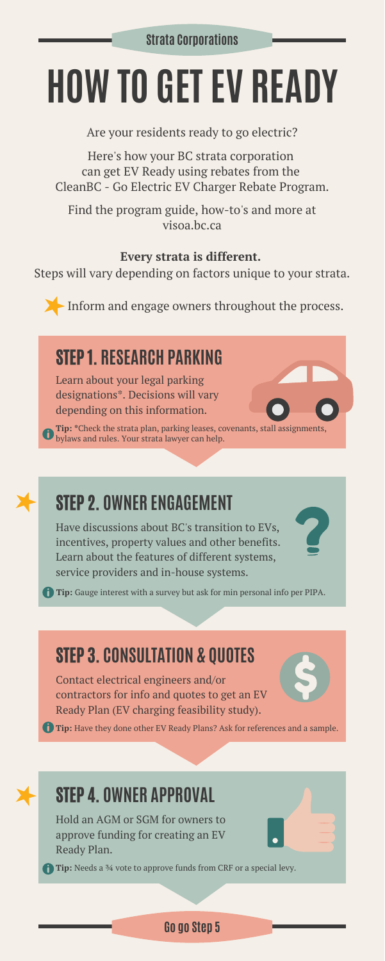# **HOW TO GETEV READY**

**Tip: \***Check the strata plan, parking leases, covenants, stall assignments, bylaws and rules. Your strata lawyer can help.

Have discussions about BC's transition to EVs, incentives, property values and other benefits. Learn about the features of different systems, service providers and in-house systems. **Tip:** Gauge interest with a survey but ask for min personal info per PIPA.

# STEP 2. **OWNER ENGAGEMENT**

Are your residents ready to go electric?

Here's how your BC strata corporation can get EV Ready using rebates from the CleanBC - Go Electric EV Charger Rebate Program.

Find the program guide, how-to's and more at visoa.bc.ca

#### **Go go Step 5**

#### **Every strata is different.**

Steps will vary depending on factors unique to your strata.

# STEP 1. **RESEARCH PARKING**

Learn about your legal parking designations\*. Decisions will vary depending on this information.

# STEP 3. **CONSULTATION & QUOTES**

Contact electrical engineers and/or contractors for info and quotes to get an EV Ready Plan (EV charging feasibility study).



**Tip:** Have they done other EV Ready Plans? Ask for references and a sample.

# STEP 4. **OWNER APPROVAL**

Hold an AGM or SGM for owners to approve funding for creating an EV Ready Plan.

**Tip:** Needs a <sup>3</sup>4 vote to approve funds from CRF or a special levy.

Inform and engage owners throughout the process.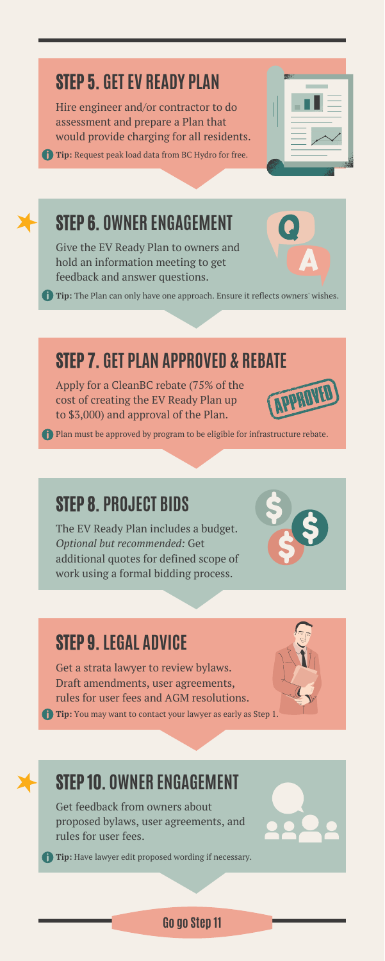#### **Go go Step 11**

#### STEP 9.**LEGAL ADVICE**

Get a strata lawyer to review bylaws. Draft amendments, user agreements, rules for user fees and AGM resolutions.

**Tip:** You may want to contact your lawyer as early as Step 1.



#### STEP 8. **PROJECT BIDS**

The EV Ready Plan includes a budget. *Optional but recommended:* Get additional quotes for defined scope of work using a formal bidding process.

## STEP 5. **GETEV READY PLAN**

Hire engineer and/or contractor to do assessment and prepare a Plan that would provide charging for all residents.

**Tip:** Request peak load data from BC Hydro for free.

| usu. |
|------|
|      |
|      |
|      |
|      |

#### STEP 7. **GET PLAN APPROVED & REBATE**

Apply for a CleanBC rebate (75% of the cost of creating the EV Ready Plan up to \$3,000) and approval of the Plan.



Plan must be approved by program to be eligible for infrastructure rebate.

# STEP 6. **OWNER ENGAGEMENT**

Give the EV Ready Plan to owners and hold an information meeting to get feedback and answer questions.

**Tip:** The Plan can only have one approach. Ensure it reflects owners' wishes.

## STEP 10. **OWNER ENGAGEMENT**

Get feedback from owners about proposed bylaws, user agreements, and rules for user fees.

**Tip:** Have lawyer edit proposed wording if necessary.

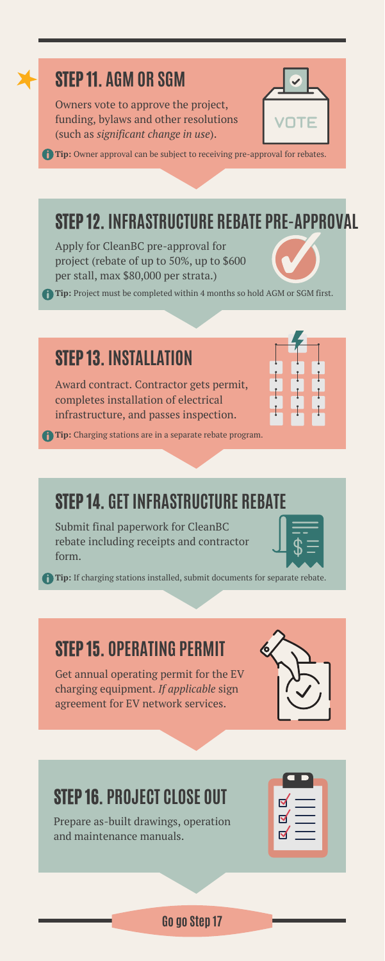#### STEP 14. **GET INFRASTRUCTURE REBATE**

### STEP 15. **OPERATING PERMIT**

Get annual operating permit for the EV charging equipment. *If applicable* sign agreement for EV network services.



#### STEP 16. **PROJECT CLOSE OUT**

Prepare as-built drawings, operation and maintenance manuals.

| $\overline{\mathbf{M}}$<br>$\overline{\mathbf{z}}$<br>$\overline{\mathbf{z}}$ |  |
|-------------------------------------------------------------------------------|--|
|                                                                               |  |

## STEP 12. **INFRASTRUCTURE REBATE PRE-APPROVAL**

Apply for CleanBC pre-approval for project (rebate of up to 50%, up to \$600 per stall, max \$80,000 per strata.)

### STEP 13. **INSTALLATION**

Award contract. Contractor gets permit, completes installation of electrical infrastructure, and passes inspection.

Submit final paperwork for CleanBC rebate including receipts and contractor form.



**Tip:** Project must be completed within 4 months so hold AGM or SGM first.

### STEP 11. **AGM OR SGM**

Owners vote to approve the project, funding, bylaws and other resolutions (such as *significant change in use*).



**Tip:** Owner approval can be subject to receiving pre-approval for rebates.

#### **Go go Step 17**

**Tip:** If charging stations installed, submit documents for separate rebate.

**Tip:** Charging stations are in a separate rebate program.